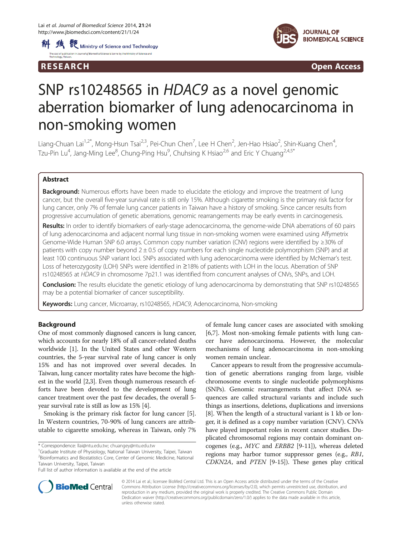



R E S EAR CH Open Access

# SNP rs10248565 in HDAC9 as a novel genomic aberration biomarker of lung adenocarcinoma in non-smoking women

Liang-Chuan Lai<sup>1,2\*</sup>, Mong-Hsun Tsai<sup>2,3</sup>, Pei-Chun Chen<sup>7</sup>, Lee H Chen<sup>2</sup>, Jen-Hao Hsiao<sup>2</sup>, Shin-Kuang Chen<sup>4</sup> , Tzu-Pin Lu $^4$ , Jang-Ming Lee $^8$ , Chung-Ping Hsu $^9$ , Chuhsing K Hsiao $^{2,6}$  and Eric Y Chuang $^{2,4,5^\ast}$ 

# Abstract

**Background:** Numerous efforts have been made to elucidate the etiology and improve the treatment of lung cancer, but the overall five-year survival rate is still only 15%. Although cigarette smoking is the primary risk factor for lung cancer, only 7% of female lung cancer patients in Taiwan have a history of smoking. Since cancer results from progressive accumulation of genetic aberrations, genomic rearrangements may be early events in carcinogenesis.

Results: In order to identify biomarkers of early-stage adenocarcinoma, the genome-wide DNA aberrations of 60 pairs of lung adenocarcinoma and adjacent normal lung tissue in non-smoking women were examined using Affymetrix Genome-Wide Human SNP 6.0 arrays. Common copy number variation (CNV) regions were identified by ≥30% of patients with copy number beyond  $2 \pm 0.5$  of copy numbers for each single nucleotide polymorphism (SNP) and at least 100 continuous SNP variant loci. SNPs associated with lung adenocarcinoma were identified by McNemar's test. Loss of heterozygosity (LOH) SNPs were identified in ≥18% of patients with LOH in the locus. Aberration of SNP rs10248565 at HDAC9 in chromosome 7p21.1 was identified from concurrent analyses of CNVs, SNPs, and LOH.

Conclusion: The results elucidate the genetic etiology of lung adenocarcinoma by demonstrating that SNP rs10248565 may be a potential biomarker of cancer susceptibility.

Keywords: Lung cancer, Microarray, rs10248565, HDAC9, Adenocarcinoma, Non-smoking

# Background

One of most commonly diagnosed cancers is lung cancer, which accounts for nearly 18% of all cancer-related deaths worldwide [\[1\]](#page-7-0). In the United States and other Western countries, the 5-year survival rate of lung cancer is only 15% and has not improved over several decades. In Taiwan, lung cancer mortality rates have become the highest in the world [\[2,3](#page-7-0)]. Even though numerous research efforts have been devoted to the development of lung cancer treatment over the past few decades, the overall 5 year survival rate is still as low as 15% [\[4](#page-7-0)].

Smoking is the primary risk factor for lung cancer [\[5](#page-7-0)]. In Western countries, 70-90% of lung cancers are attributable to cigarette smoking, whereas in Taiwan, only 7%

 $^{1}$ Graduate Institute of Physiology, National Taiwan University, Taipei, Taiwan 2 Bioinformatics and Biostatistics Core, Center of Genomic Medicine, National Taiwan University, Taipei, Taiwan

of female lung cancer cases are associated with smoking [[6,7\]](#page-7-0). Most non-smoking female patients with lung cancer have adenocarcinoma. However, the molecular mechanisms of lung adenocarcinoma in non-smoking women remain unclear.

Cancer appears to result from the progressive accumulation of genetic aberrations ranging from large, visible chromosome events to single nucleotide polymorphisms (SNPs). Genomic rearrangements that affect DNA sequences are called structural variants and include such things as insertions, deletions, duplications and inversions [[8\]](#page-7-0). When the length of a structural variant is 1 kb or longer, it is defined as a copy number variation (CNV). CNVs have played important roles in recent cancer studies. Duplicated chromosomal regions may contain dominant oncogenes (e.g., MYC and ERBB2 [[9-11\]](#page-7-0)), whereas deleted regions may harbor tumor suppressor genes (e.g., RB1, CDKN2A, and PTEN [[9-15](#page-7-0)]). These genes play critical



© 2014 Lai et al.; licensee BioMed Central Ltd. This is an Open Access article distributed under the terms of the Creative Commons Attribution License [\(http://creativecommons.org/licenses/by/2.0\)](http://creativecommons.org/licenses/by/2.0), which permits unrestricted use, distribution, and reproduction in any medium, provided the original work is properly credited. The Creative Commons Public Domain Dedication waiver [\(http://creativecommons.org/publicdomain/zero/1.0/](http://creativecommons.org/publicdomain/zero/1.0/)) applies to the data made available in this article, unless otherwise stated.

<sup>\*</sup> Correspondence: [llai@ntu.edu.tw;](mailto:llai@ntu.edu.tw) [chuangey@ntu.edu.tw](mailto:chuangey@ntu.edu.tw) <sup>1</sup>

Full list of author information is available at the end of the article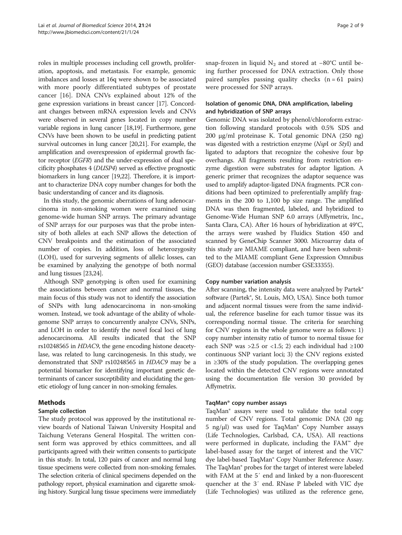<span id="page-1-0"></span>roles in multiple processes including cell growth, proliferation, apoptosis, and metastasis. For example, genomic imbalances and losses at 16q were shown to be associated with more poorly differentiated subtypes of prostate cancer [\[16](#page-7-0)]. DNA CNVs explained about 12% of the gene expression variations in breast cancer [\[17](#page-7-0)]. Concordant changes between mRNA expression levels and CNVs were observed in several genes located in copy number variable regions in lung cancer [\[18,19\]](#page-7-0). Furthermore, gene CNVs have been shown to be useful in predicting patient survival outcomes in lung cancer [[20,21](#page-7-0)]. For example, the amplification and overexpression of epidermal growth factor receptor (EGFR) and the under-expression of dual specificity phosphates 4 (DUSP4) served as effective prognostic biomarkers in lung cancer [\[19,22](#page-7-0)]. Therefore, it is important to characterize DNA copy number changes for both the basic understanding of cancer and its diagnosis.

In this study, the genomic aberrations of lung adenocarcinoma in non-smoking women were examined using genome-wide human SNP arrays. The primary advantage of SNP arrays for our purposes was that the probe intensity of both alleles at each SNP allows the detection of CNV breakpoints and the estimation of the associated number of copies. In addition, loss of heterozygosity (LOH), used for surveying segments of allelic losses, can be examined by analyzing the genotype of both normal and lung tissues [\[23,24\]](#page-7-0).

Although SNP genotyping is often used for examining the associations between cancer and normal tissues, the main focus of this study was not to identify the association of SNPs with lung adenocarcinoma in non-smoking women. Instead, we took advantage of the ability of wholegenome SNP arrays to concurrently analyze CNVs, SNPs, and LOH in order to identify the novel focal loci of lung adenocarcinoma. All results indicated that the SNP rs10248565 in HDAC9, the gene encoding histone deacetylase, was related to lung carcinogenesis. In this study, we demonstrated that SNP rs10248565 in HDAC9 may be a potential biomarker for identifying important genetic determinants of cancer susceptibility and elucidating the genetic etiology of lung cancer in non-smoking females.

# Methods

# Sample collection

The study protocol was approved by the institutional review boards of National Taiwan University Hospital and Taichung Veterans General Hospital. The written consent form was approved by ethics committees, and all participants agreed with their written consents to participate in this study. In total, 120 pairs of cancer and normal lung tissue specimens were collected from non-smoking females. The selection criteria of clinical specimens depended on the pathology report, physical examination and cigarette smoking history. Surgical lung tissue specimens were immediately snap-frozen in liquid  $N_2$  and stored at −80°C until being further processed for DNA extraction. Only those paired samples passing quality checks  $(n = 61$  pairs) were processed for SNP arrays.

# Isolation of genomic DNA, DNA amplification, labeling and hybridization of SNP arrays

Genomic DNA was isolated by phenol/chloroform extraction following standard protocols with 0.5% SDS and 200 μg/ml proteinase K. Total genomic DNA (250 ng) was digested with a restriction enzyme (NspI or StyI) and ligated to adaptors that recognize the cohesive four bp overhangs. All fragments resulting from restriction enzyme digestion were substrates for adaptor ligation. A generic primer that recognizes the adaptor sequence was used to amplify adaptor-ligated DNA fragments. PCR conditions had been optimized to preferentially amplify fragments in the 200 to 1,100 bp size range. The amplified DNA was then fragmented, labeled, and hybridized to Genome-Wide Human SNP 6.0 arrays (Affymetrix, Inc., Santa Clara, CA). After 16 hours of hybridization at 49°C, the arrays were washed by Fluidics Station 450 and scanned by GeneChip Scanner 3000. Microarray data of this study are MIAME compliant, and have been submitted to the MIAME compliant Gene Expression Omnibus (GEO) database (accession number GSE33355).

# Copy number variation analysis

After scanning, the intensity data were analyzed by Partek® software (Partek®, St. Louis, MO, USA). Since both tumor and adjacent normal tissues were from the same individual, the reference baseline for each tumor tissue was its corresponding normal tissue. The criteria for searching for CNV regions in the whole genome were as follows: 1) copy number intensity ratio of tumor to normal tissue for each SNP was >2.5 or <1.5; 2) each individual had  $\geq 100$ continuous SNP variant loci; 3) the CNV regions existed in ≥30% of the study population. The overlapping genes located within the detected CNV regions were annotated using the documentation file version 30 provided by Affymetrix.

# TaqMan® copy number assays

TaqMan® assays were used to validate the total copy number of CNV regions. Total genomic DNA (20 ng; 5 ng/μl) was used for TaqMan® Copy Number assays (Life Technologies, Carlsbad, CA, USA). All reactions were performed in duplicate, including the FAM™ dye label-based assay for the target of interest and the VIC® dye label-based TaqMan® Copy Number Reference Assay. The TaqMan® probes for the target of interest were labeled with FAM at the 5′ end and linked by a non-fluorescent quencher at the 3′ end. RNase P labeled with VIC dye (Life Technologies) was utilized as the reference gene,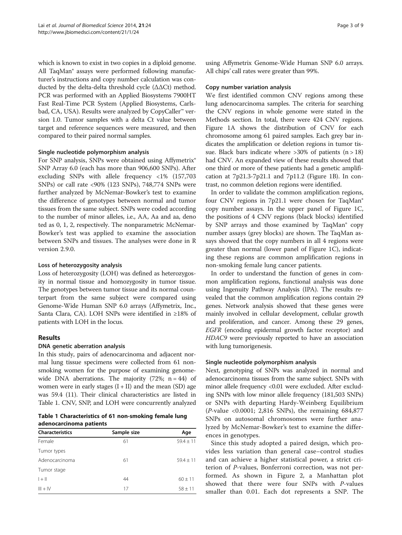which is known to exist in two copies in a diploid genome. All TaqMan® assays were performed following manufacturer's instructions and copy number calculation was conducted by the delta-delta threshold cycle (ΔΔCt) method. PCR was performed with an Applied Biosystems 7900HT Fast Real-Time PCR System (Applied Biosystems, Carlsbad, CA, USA). Results were analyzed by CopyCaller™ version 1.0. Tumor samples with a delta Ct value between target and reference sequences were measured, and then compared to their paired normal samples.

## Single nucleotide polymorphism analysis

For SNP analysis, SNPs were obtained using Affymetrix<sup>®</sup> SNP Array 6.0 (each has more than 906,600 SNPs). After excluding SNPs with allele frequency <1% (157,703 SNPs) or call rate <90% (123 SNPs), 748,774 SNPs were further analyzed by McNemar-Bowker's test to examine the difference of genotypes between normal and tumor tissues from the same subject. SNPs were coded according to the number of minor alleles, i.e., AA, Aa and aa, deno ted as 0, 1, 2, respectively. The nonparametric McNemar-Bowker's test was applied to examine the association between SNPs and tissues. The analyses were done in R version 2.9.0.

## Loss of heterozygosity analysis

Loss of heterozygosity (LOH) was defined as heterozygosity in normal tissue and homozygosity in tumor tissue. The genotypes between tumor tissue and its normal counterpart from the same subject were compared using Genome-Wide Human SNP 6.0 arrays (Affymetrix, Inc., Santa Clara, CA). LOH SNPs were identified in ≥18% of patients with LOH in the locus.

# Results

## DNA genetic aberration analysis

In this study, pairs of adenocarcinoma and adjacent normal lung tissue specimens were collected from 61 nonsmoking women for the purpose of examining genomewide DNA aberrations. The majority  $(72\%; n = 44)$  of women were in early stages  $(I + II)$  and the mean  $(SD)$  age was 59.4 (11). Their clinical characteristics are listed in Table 1. CNV, SNP, and LOH were concurrently analyzed

Table 1 Characteristics of 61 non-smoking female lung adenocarcinoma patients

| <b>Characteristics</b> | Sample size | Age           |  |
|------------------------|-------------|---------------|--|
| Female                 | 61          | $59.4 \pm 11$ |  |
| Tumor types            |             |               |  |
| Adenocarcinoma         | 61          | $59.4 \pm 11$ |  |
| Tumor stage            |             |               |  |
| $ + $                  | 44          | $60 \pm 11$   |  |
| $III + IV$             | 17          | $58 \pm 11$   |  |

using Affymetrix Genome-Wide Human SNP 6.0 arrays. All chips' call rates were greater than 99%.

### Copy number variation analysis

We first identified common CNV regions among these lung adenocarcinoma samples. The criteria for searching the CNV regions in whole genome were stated in the [Methods](#page-1-0) section. In total, there were 424 CNV regions. Figure [1A](#page-4-0) shows the distribution of CNV for each chromosome among 61 paired samples. Each grey bar indicates the amplification or deletion regions in tumor tissue. Black bars indicate where  $>30\%$  of patients (n  $>18$ ) had CNV. An expanded view of these results showed that one third or more of these patients had a genetic amplification at 7p21.3-7p21.1 and 7p11.2 (Figure [1B](#page-4-0)). In contrast, no common deletion regions were identified.

In order to validate the common amplification regions, four CNV regions in 7p21.1 were chosen for TaqMan® copy number assays. In the upper panel of Figure [1C](#page-4-0), the positions of 4 CNV regions (black blocks) identified by SNP arrays and those examined by TaqMan® copy number assays (grey blocks) are shown. The TaqMan assays showed that the copy numbers in all 4 regions were greater than normal (lower panel of Figure [1C](#page-4-0)), indicating these regions are common amplification regions in non-smoking female lung cancer patients.

In order to understand the function of genes in common amplification regions, functional analysis was done using Ingenuity Pathway Analysis (IPA). The results revealed that the common amplification regions contain 29 genes. Network analysis showed that these genes were mainly involved in cellular development, cellular growth and proliferation, and cancer. Among these 29 genes, EGFR (encoding epidermal growth factor receptor) and HDAC9 were previously reported to have an association with lung tumorigenesis.

## Single nucleotide polymorphism analysis

Next, genotyping of SNPs was analyzed in normal and adenocarcinoma tissues from the same subject. SNPs with minor allele frequency <0.01 were excluded. After excluding SNPs with low minor allele frequency (181,503 SNPs) or SNPs with departing Hardy-Weinberg Equilibrium (P-value <0.0001; 2,816 SNPs), the remaining 684,877 SNPs on autosomal chromosomes were further analyzed by McNemar-Bowker's test to examine the differences in genotypes.

Since this study adopted a paired design, which provides less variation than general case–control studies and can achieve a higher statistical power, a strict criterion of P-values, Bonferroni correction, was not performed. As shown in Figure [2](#page-4-0), a Manhattan plot showed that there were four SNPs with P-values smaller than 0.01. Each dot represents a SNP. The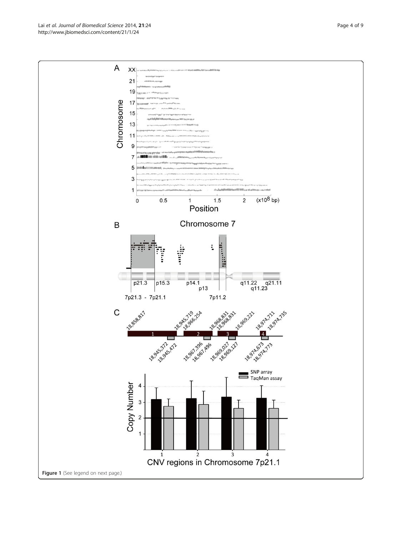Lai et al. Journal of Biomedical Science 2014, 21:24 Page 4 of 9 http://www.jbiomedsci.com/content/21/1/24

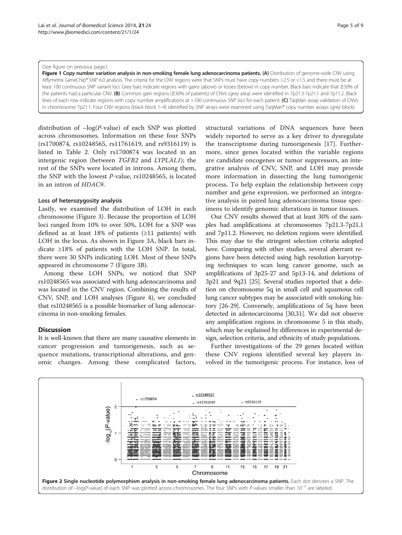#### <span id="page-4-0"></span>(See figure on previous page.)

Figure 1 Copy number variation analysis in non-smoking female lung adenocarcinoma patients. (A) Distribution of genome-wide CNV using Affymetrix GeneChip® SNP 6.0 analysis. The criteria for the CNV regions were that SNPs must have copy numbers >2.5 or <1.5 and there must be at least 100 continuous SNP variant loci. Grey bars indicate regions with gains (above) or losses (below) in copy number. Black bars indicate that ≥30% of the patients had a particular CNV. (B) Common gain regions (≥30% of patients) of CNVs (grey area) were identified in 7p21.3-7p21.1 and 7p11.2. Black lines of each row indicate regions with copy number amplifications at >100 continuous SNP loci for each patient. (C) TaqMan assay validation of CNVs in chromosome 7p21.1. Four CNV regions (black block 1-4) identified by SNP arrays were examined using TagMan® copy number assays (grey block).

distribution of  $-\log(P\text{-value})$  of each SNP was plotted across chromosomes. Information on these four SNPs (rs1700874, rs10248565, rs11761619, and rs9316119) is listed in Table [2](#page-5-0). Only rs1700874 was located in an intergenic region (between TGFB2 and LYPLAL1); the rest of the SNPs were located in introns. Among them, the SNP with the lowest P-value, rs10248565, is located in an intron of HDAC9.

## Loss of heterozygosity analysis

Lastly, we examined the distribution of LOH in each chromosome (Figure [3](#page-5-0)). Because the proportion of LOH loci ranged from 10% to over 50%, LOH for a SNP was defined as at least 18% of patients  $(\geq 11)$  patients) with LOH in the locus. As shown in Figure [3](#page-5-0)A, black bars indicate ≥18% of patients with the LOH SNP. In total, there were 30 SNPs indicating LOH. Most of these SNPs appeared in chromosome 7 (Figure [3](#page-5-0)B).

Among these LOH SNPs, we noticed that SNP rs10248565 was associated with lung adenocarcinoma and was located in the CNV region. Combining the results of CNV, SNP, and LOH analyses (Figure [4](#page-6-0)), we concluded that rs10248565 is a possible biomarker of lung adenocarcinoma in non-smoking females.

# **Discussion**

It is well-known that there are many causative elements in cancer progression and tumorigenesis, such as sequence mutations, transcriptional alterations, and genomic changes. Among these complicated factors,

structural variations of DNA sequences have been widely reported to serve as a key driver to dysregulate the transcriptome during tumorigenesis [[17\]](#page-7-0). Furthermore, since genes located within the variable regions are candidate oncogenes or tumor suppressors, an integrative analysis of CNV, SNP, and LOH may provide more information in dissecting the lung tumorigenic process. To help explain the relationship between copy number and gene expression, we performed an integrative analysis in paired lung adenocarcinoma tissue specimens to identify genomic alterations in tumor tissues.

Our CNV results showed that at least 30% of the samples had amplifications at chromosomes 7p21.3-7p21.1 and 7p11.2. However, no deletion regions were identified. This may due to the stringent selection criteria adopted here. Comparing with other studies, several aberrant regions have been detected using high resolution karyotyping techniques to scan lung cancer genome, such as amplifications of 3p25-27 and 5p13-14, and deletions of 3p21 and 9q21 [\[25](#page-7-0)]. Several studies reported that a deletion on chromosome 5q in small cell and squamous cell lung cancer subtypes may be associated with smoking history [\[26-29\]](#page-7-0). Conversely, amplifications of 5q have been detected in adenocarcinoma [\[30,31\]](#page-7-0). We did not observe any amplification regions in chromosome 5 in this study, which may be explained by differences in experimental design, selection criteria, and ethnicity of study populations.

Further investigations of the 29 genes located within these CNV regions identified several key players involved in the tumorigenic process. For instance, loss of

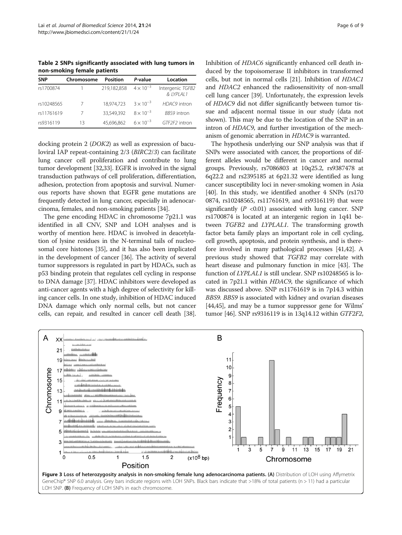<span id="page-5-0"></span>Table 2 SNPs significantly associated with lung tumors in non-smoking female patients

| <b>SNP</b> | Chromosome | Position    | P-value            | Location                        |
|------------|------------|-------------|--------------------|---------------------------------|
| rs1700874  |            | 219,182,858 | $4 \times 10^{-3}$ | Intergenic TGFB2<br>& 1YPI AI 1 |
| rs10248565 |            | 18.974.723  | $3 \times 10^{-3}$ | HDAC9 intron                    |
| rs11761619 |            | 33.549.392  | $8 \times 10^{-3}$ | <b>BBS9</b> intron              |
| rs9316119  | 13         | 45.696.862  | $6 \times 10^{-3}$ | GTF2F2 intron                   |

docking protein 2 (DOK2) as well as expression of baculoviral IAP repeat-containing 2/3 (BIRC2/3) can facilitate lung cancer cell proliferation and contribute to lung tumor development [[32](#page-7-0)[,33](#page-8-0)]. EGFR is involved in the signal transduction pathways of cell proliferation, differentiation, adhesion, protection from apoptosis and survival. Numerous reports have shown that EGFR gene mutations are frequently detected in lung cancer, especially in adenocarcinoma, females, and non-smoking patients [\[34](#page-8-0)].

The gene encoding HDAC in chromosome 7p21.1 was identified in all CNV, SNP and LOH analyses and is worthy of mention here. HDAC is involved in deacetylation of lysine residues in the N-terminal tails of nucleosomal core histones [\[35\]](#page-8-0), and it has also been implicated in the development of cancer [[36](#page-8-0)]. The activity of several tumor suppressors is regulated in part by HDACs, such as p53 binding protein that regulates cell cycling in response to DNA damage [\[37\]](#page-8-0). HDAC inhibitors were developed as anti-cancer agents with a high degree of selectivity for killing cancer cells. In one study, inhibition of HDAC induced DNA damage which only normal cells, but not cancer cells, can repair, and resulted in cancer cell death [[38](#page-8-0)]. Inhibition of HDAC6 significantly enhanced cell death induced by the topoisomerase II inhibitors in transformed cells, but not in normal cells [\[21](#page-7-0)]. Inhibition of HDAC1 and HDAC2 enhanced the radiosensitivity of non-small cell lung cancer [\[39](#page-8-0)]. Unfortunately, the expression levels of HDAC9 did not differ significantly between tumor tissue and adjacent normal tissue in our study (data not shown). This may be due to the location of the SNP in an intron of HDAC9, and further investigation of the mechanism of genomic aberration in HDAC9 is warranted.

The hypothesis underlying our SNP analysis was that if SNPs were associated with cancer, the proportions of different alleles would be different in cancer and normal groups. Previously, rs7086803 at 10q25.2, rs9387478 at 6q22.2 and rs2395185 at 6p21.32 were identified as lung cancer susceptibility loci in never-smoking women in Asia [[40](#page-8-0)]. In this study, we identified another 4 SNPs (rs170) 0874, rs10248565, rs11761619, and rs9316119) that were significantly ( $P < 0.01$ ) associated with lung cancer. SNP rs1700874 is located at an intergenic region in 1q41 between TGFB2 and LYPLAL1. The transforming growth factor beta family plays an important role in cell cycling, cell growth, apoptosis, and protein synthesis, and is therefore involved in many pathological processes [[41,42\]](#page-8-0). A previous study showed that TGFB2 may correlate with heart disease and pulmonary function in mice [[43](#page-8-0)]. The function of LYPLAL1 is still unclear. SNP rs10248565 is located in 7p21.1 within HDAC9, the significance of which was discussed above. SNP rs11761619 is in 7p14.3 within BBS9. BBS9 is associated with kidney and ovarian diseases [[44,45\]](#page-8-0), and may be a tumor suppressor gene for Wilms' tumor [[46](#page-8-0)]. SNP rs9316119 is in 13q14.12 within GTF2F2,

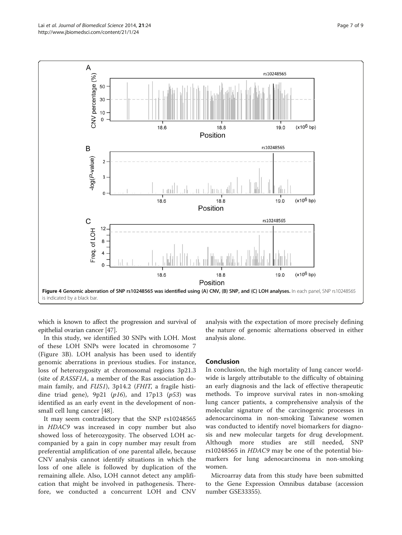<span id="page-6-0"></span>

which is known to affect the progression and survival of epithelial ovarian cancer [[47](#page-8-0)].

In this study, we identified 30 SNPs with LOH. Most of these LOH SNPs were located in chromosome 7 (Figure [3B](#page-5-0)). LOH analysis has been used to identify genomic aberrations in previous studies. For instance, loss of heterozygosity at chromosomal regions 3p21.3 (site of RASSF1A, a member of the Ras association domain family, and FUS1), 3p14.2 (FHIT, a fragile histidine triad gene),  $9p21$  ( $p16$ ), and  $17p13$  ( $p53$ ) was identified as an early event in the development of nonsmall cell lung cancer [\[48\]](#page-8-0).

It may seem contradictory that the SNP rs10248565 in HDAC9 was increased in copy number but also showed loss of heterozygosity. The observed LOH accompanied by a gain in copy number may result from preferential amplification of one parental allele, because CNV analysis cannot identify situations in which the loss of one allele is followed by duplication of the remaining allele. Also, LOH cannot detect any amplification that might be involved in pathogenesis. Therefore, we conducted a concurrent LOH and CNV analysis with the expectation of more precisely defining the nature of genomic alternations observed in either analysis alone.

## Conclusion

In conclusion, the high mortality of lung cancer worldwide is largely attributable to the difficulty of obtaining an early diagnosis and the lack of effective therapeutic methods. To improve survival rates in non-smoking lung cancer patients, a comprehensive analysis of the molecular signature of the carcinogenic processes in adenocarcinoma in non-smoking Taiwanese women was conducted to identify novel biomarkers for diagnosis and new molecular targets for drug development. Although more studies are still needed, SNP rs10248565 in HDAC9 may be one of the potential biomarkers for lung adenocarcinoma in non-smoking women.

Microarray data from this study have been submitted to the Gene Expression Omnibus database (accession number GSE33355).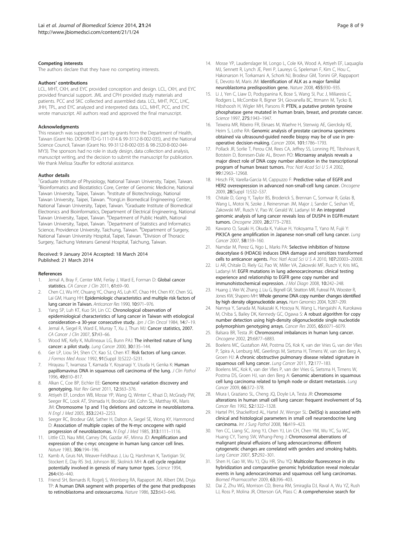#### <span id="page-7-0"></span>Competing interests

The authors declare that they have no competing interests.

#### Authors' contributions

LCL, MHT, CKH, and EYC provided conception and design. LCL, CKH, and EYC provided financial support. JML and CPH provided study materials and patients. PCC and SKC collected and assembled data. LCL, MHT, PCC, LHC, JHH, TPL, and EYC analyzed and interpreted data. LCL, MHT, PCC, and EYC wrote manuscript. All authors read and approved the final manuscript.

#### **Acknowledaments**

This research was supported in part by grants from the Department of Health, Taiwan (Grant No. DOH98-TD-G-111-014 & 99-3112-B-002-035), and the National Science Council, Taiwan (Grant No. 99-3112-B-002-035 & 98-2320-B-002-044- MY3). The sponsors had no role in study design, data collection and analysis, manuscript writing, and the decision to submit the manuscript for publication. We thank Melissa Stauffer for editorial assistance.

#### Author details

<sup>1</sup>Graduate Institute of Physiology, National Taiwan University, Taipei, Taiwan. <sup>2</sup> Bioinformatics and Biostatistics Core, Center of Genomic Medicine, National Taiwan University, Taipei, Taiwan. <sup>3</sup>Institute of Biotechnology, National Taiwan University, Taipei, Taiwan. <sup>4</sup>YongLin Biomedical Engineering Center, National Taiwan University, Taipei, Taiwan. <sup>5</sup>Graduate Institute of Biomedical Electronics and Bioinformatics, Department of Electrical Engineering, National Taiwan University, Taipei, Taiwan. <sup>6</sup>Department of Public Health, National<br>Taiwan University, Taipei, Taiwan. <sup>7</sup>Department of Statistics and Informatics Science, Providence University, Taichung, Taiwan. <sup>8</sup>Department of Surgery, National Taiwan University Hospital, Taipei, Taiwan. <sup>9</sup> Division of Thoracic Surgery, Taichung Veterans General Hospital, Taichung, Taiwan.

#### Received: 9 January 2014 Accepted: 18 March 2014 Published: 21 March 2014

#### References

- 1. Jemal A, Bray F, Center MM, Ferlay J, Ward E, Forman D: Global cancer statistics. CA Cancer J Clin 2011, 61:69-90.
- 2. Chen CJ, Wu HY, Chuang YC, Chang AS, Luh KT, Chao HH, Chen KY, Chen SG, Lai GM, Huang HH: Epidemiologic characteristics and multiple risk factors of lung cancer in Taiwan. Anticancer Res 1990, 10:971–976.
- Yang SP, Luh KT, Kuo SH, Lin CC: Chronological observation of epidemiological characteristics of lung cancer in Taiwan with etiological consideration-a 30-year consecutive study. Jpn J Clin Oncol 1984, 14:7-19.
- 4. Jemal A, Siegel R, Ward E, Murray T, Xu J, Thun MJ: Cancer statistics, 2007. CA Cancer J Clin 2007, 57:43–66.
- 5. Wood ME, Kelly K, Mullineaux LG, Bunn PAJ: The inherited nature of lung cancer: a pilot study. Lung Cancer 2000, 30:135–144.
- Ger LP, Liou SH, Shen CY, Kao SJ, Chen KT: Risk factors of lung cancer. J Formos Med Assoc 1992, 91(Suppl 3):S222–S231.
- 7. Hirayasu T, Iwamasa T, Kamada Y, Koyanagi Y, Usuda H, Genka K: Human papillomavirus DNA in squamous cell carcinoma of the lung. J Clin Pathol 1996, 49:810–817.
- 8. Alkan C, Coe BP, Eichler EE: Genome structural variation discovery and genotyping. Nat Rev Genet 2011, 12:363–376.
- Attiyeh EF, London WB, Mosse YP, Wang Q, Winter C, Khazi D, McGrady PW, Seeger RC, Look AT, Shimada H, Brodeur GM, Cohn SL, Matthay KK, Maris JM: Chromosome 1p and 11q deletions and outcome in neuroblastoma. N Engl J Med 2005, 353:2243–2253.
- 10. Seeger RC, Brodeur GM, Sather H, Dalton A, Siegel SE, Wong KY, Hammond D: Association of multiple copies of the N-myc oncogene with rapid progression of neuroblastomas. N Engl J Med 1985, 313:1111–1116.
- 11. Little CD, Nau MM, Carney DN, Gazdar AF, Minna JD: Amplification and expression of the c-myc oncogene in human lung cancer cell lines. Nature 1983, 306:194–196.
- 12. Kamb A, Gruis NA, Weaver-Feldhaus J, Liu Q, Harshman K, Tavtigian SV, Stockert E, Day RS 3rd, Johnson BE, Skolnick MH: A cell cycle regulator potentially involved in genesis of many tumor types. Science 1994, 264:436–440.
- 13. Friend SH, Bernards R, Rogelj S, Weinberg RA, Rapaport JM, Albert DM, Dryja TP: A human DNA segment with properties of the gene that predisposes to retinoblastoma and osteosarcoma. Nature 1986, 323:643–646.
- 14. Mosse YP, Laudenslager M, Longo L, Cole KA, Wood A, Attiyeh EF, Laquaglia MJ, Sennett R, Lynch JE, Perri P, Laureys G, Speleman F, Kim C, Hou C, Hakonarson H, Torkamani A, Schork NJ, Brodeur GM, Tonini GP, Rappaport E, Devoto M, Maris JM: Identification of ALK as a major familial neuroblastoma predisposition gene. Nature 2008, 455:930–935.
- 15. Li J, Yen C, Liaw D, Podsypanina K, Bose S, Wang SI, Puc J, Miliaresis C, Rodgers L, McCombie R, Bigner SH, Giovanella BC, Ittmann M, Tycko B, Hibshoosh H, Wigler MH, Parsons R: PTEN, a putative protein tyrosine phosphatase gene mutated in human brain, breast, and prostate cancer. Science 1997, 275:1943-1947.
- 16. Teixeira MR, Ribeiro FR, Eknaes M, Waehre H, Stenwig AE, Giercksky KE, Heim S, Lothe RA: Genomic analysis of prostate carcinoma specimens obtained via ultrasound-guided needle biopsy may be of use in preoperative decision-making. Cancer 2004, 101:1786–1793.
- 17. Pollack JR, Sorlie T, Perou CM, Rees CA, Jeffrey SS, Lonning PE, Tibshirani R, Botstein D, Borresen-Dale AL, Brown PO: Microarray analysis reveals a major direct role of DNA copy number alteration in the transcriptional program of human breast tumors. Proc Natl Acad Sci U S A 2002, 99:12963–12968.
- 18. Hirsch FR, Varella-Garcia M, Cappuzzo F: Predictive value of EGFR and HER2 overexpression in advanced non-small-cell lung cancer. Oncogene 2009, 28(Suppl 1):S32–S37.
- 19. Chitale D, Gong Y, Taylor BS, Broderick S, Brennan C, Somwar R, Golas B, Wang L, Motoi N, Szoke J, Reinersman JM, Major J, Sander C, Seshan VE, Zakowski MF, Rusch V, Pao W, Gerald W, Ladanyi M: An integrated genomic analysis of lung cancer reveals loss of DUSP4 in EGFR-mutant tumors. Oncogene 2009, 28:2773–2783.
- 20. Kawano O, Sasaki H, Okuda K, Yukiue H, Yokoyama T, Yano M, Fujii Y: PIK3CA gene amplification in Japanese non-small cell lung cancer. Lung Cancer 2007, 58:159–160.
- 21. Namdar M, Perez G, Ngo L, Marks PA: Selective inhibition of histone deacetylase 6 (HDAC6) induces DNA damage and sensitizes transformed cells to anticancer agents. Proc Natl Acad Sci U S A 2010, 107:20003–20008.
- 22. Li AR, Chitale D, Riely GJ, Pao W, Miller VA, Zakowski MF, Rusch V, Kris MG, Ladanyi M: EGFR mutations in lung adenocarcinomas: clinical testing experience and relationship to EGFR gene copy number and immunohistochemical expression. J Mol Diagn 2008, 10:242–248.
- 23. Huang J, Wei W, Zhang J, Liu G, Bignell GR, Stratton MR, Futreal PA, Wooster R, Jones KW, Shapero MH: Whole genome DNA copy number changes identified by high density oligonucleotide arrays. Hum Genomics 2004, 1:287–299.
- 24. Nannya Y, Sanada M, Nakazaki K, Hosoya N, Wang L, Hangaishi A, Kurokawa M, Chiba S, Bailey DK, Kennedy GC, Ogawa S: A robust algorithm for copy number detection using high-density oligonucleotide single nucleotide polymorphism genotyping arrays. Cancer Res 2005, 65:6071–6079.
- 25. Balsara BR, Testa JR: Chromosomal imbalances in human lung cancer. Oncogene 2002, 21:6877–6883.
- 26. Boelens MC, Gustafson AM, Postma DS, Kok K, van der Vries G, van der Vlies P, Spira A, Lenburg ME, Geerlings M, Sietsma H, Timens W, van den Berg A, Groen HJ: A chronic obstructive pulmonary disease related signature in squamous cell lung cancer. Lung Cancer 2011, 72:177–183.
- 27. Boelens MC, Kok K, van der Vlies P, van der Vries G, Sietsma H, Timens W, Postma DS, Groen HJ, van den Berg A: Genomic aberrations in squamous cell lung carcinoma related to lymph node or distant metastasis. Lung Cancer 2009, 66:372–378.
- 28. Miura I, Graziano SL, Cheng JQ, Doyle LA, Testa JR: Chromosome alterations in human small cell lung cancer: frequent involvement of 5q. Cancer Res 1992, 52:1322–1328.
- 29. Hartel PH, Shackelford AL, Hartel JV, Wenger SL: Del(5q) is associated with clinical and histological parameters in small cell neuroendocrine lung carcinoma. Int J Surg Pathol 2008, 16:419–423.
- 30. Yen CC, Liang SC, Jong YJ, Chen YJ, Lin CH, Chen YM, Wu YC, Su WC, Huang CY, Tseng SW, Whang-Peng J: Chromosomal aberrations of malignant pleural effusions of lung adenocarcinoma: different cytogenetic changes are correlated with genders and smoking habits. Lung Cancer 2007, 57:292–301.
- 31. Shen H, Gao W, Wu YJ, Qiu HR, Shu YQ: Multicolor fluorescence in situ hybridization and comparative genomic hybridization reveal molecular events in lung adenocarcinomas and squamous cell lung carcinomas. Biomed Pharmacother 2009, 63:396–403.
- 32. Dai Z, Zhu WG, Morrison CD, Brena RM, Smiraglia DJ, Raval A, Wu YZ, Rush LJ, Ross P, Molina JR, Otterson GA, Plass C: A comprehensive search for